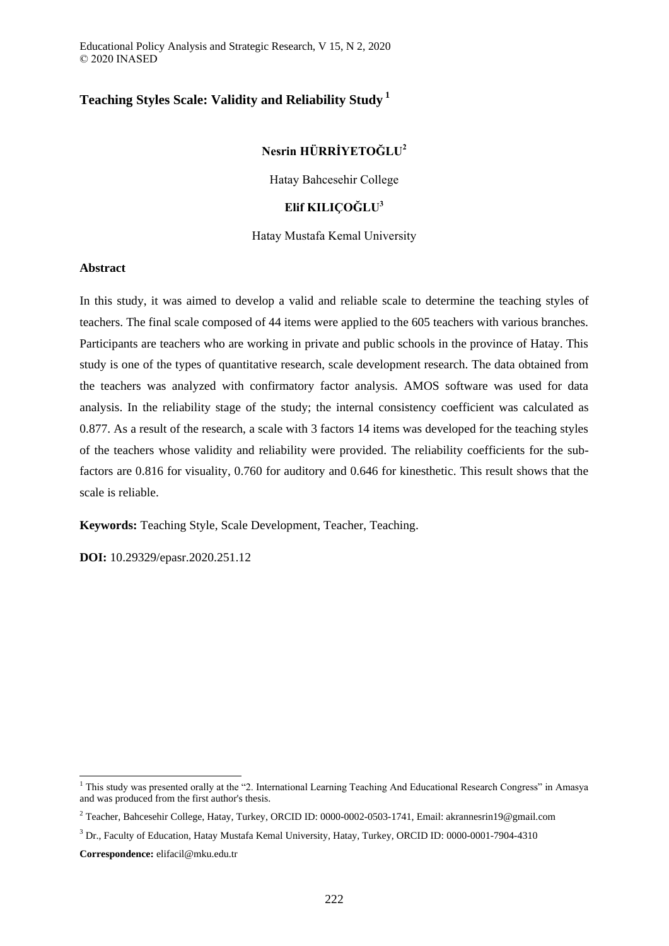Educational Policy Analysis and Strategic Research, V 15, N 2, 2020 © 2020 INASED

# **Teaching Styles Scale: Validity and Reliability Study <sup>1</sup>**

# **Nesrin HÜRRİYETOĞLU<sup>2</sup>**

Hatay Bahcesehir College

## **Elif KILIÇOĞLU<sup>3</sup>**

### Hatay Mustafa Kemal University

### **Abstract**

In this study, it was aimed to develop a valid and reliable scale to determine the teaching styles of teachers. The final scale composed of 44 items were applied to the 605 teachers with various branches. Participants are teachers who are working in private and public schools in the province of Hatay. This study is one of the types of quantitative research, scale development research. The data obtained from the teachers was analyzed with confirmatory factor analysis. AMOS software was used for data analysis. In the reliability stage of the study; the internal consistency coefficient was calculated as 0.877. As a result of the research, a scale with 3 factors 14 items was developed for the teaching styles of the teachers whose validity and reliability were provided. The reliability coefficients for the subfactors are 0.816 for visuality, 0.760 for auditory and 0.646 for kinesthetic. This result shows that the scale is reliable.

**Keywords:** Teaching Style, Scale Development, Teacher, Teaching.

**DOI:** 10.29329/epasr.2020.251.12

**Correspondence:** elifacil@mku.edu.tr

-

<sup>&</sup>lt;sup>1</sup> This study was presented orally at the "2. International Learning Teaching And Educational Research Congress" in Amasya and was produced from the first author's thesis.

<sup>2</sup> Teacher, Bahcesehir College, Hatay, Turkey, ORCID ID: 0000-0002-0503-1741, Email: akrannesrin19@gmail.com

<sup>3</sup> Dr., Faculty of Education, Hatay Mustafa Kemal University, Hatay, Turkey, ORCID ID: 0000-0001-7904-4310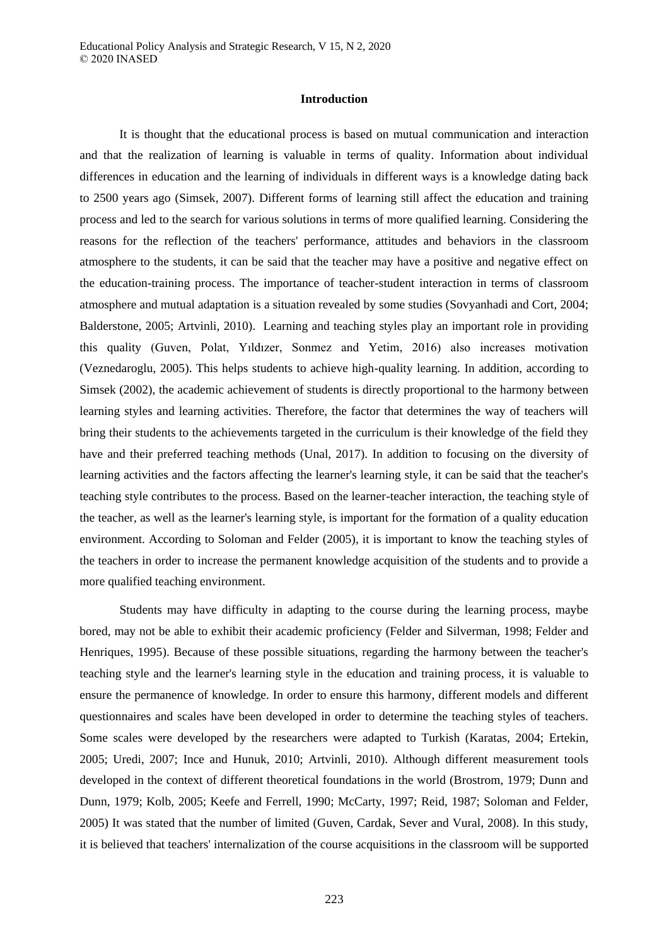### **Introduction**

It is thought that the educational process is based on mutual communication and interaction and that the realization of learning is valuable in terms of quality. Information about individual differences in education and the learning of individuals in different ways is a knowledge dating back to 2500 years ago (Simsek, 2007). Different forms of learning still affect the education and training process and led to the search for various solutions in terms of more qualified learning. Considering the reasons for the reflection of the teachers' performance, attitudes and behaviors in the classroom atmosphere to the students, it can be said that the teacher may have a positive and negative effect on the education-training process. The importance of teacher-student interaction in terms of classroom atmosphere and mutual adaptation is a situation revealed by some studies (Sovyanhadi and Cort, 2004; Balderstone, 2005; Artvinli, 2010). Learning and teaching styles play an important role in providing this quality (Guven, Polat, Yıldızer, Sonmez and Yetim, 2016) also increases motivation (Veznedaroglu, 2005). This helps students to achieve high-quality learning. In addition, according to Simsek (2002), the academic achievement of students is directly proportional to the harmony between learning styles and learning activities. Therefore, the factor that determines the way of teachers will bring their students to the achievements targeted in the curriculum is their knowledge of the field they have and their preferred teaching methods (Unal, 2017). In addition to focusing on the diversity of learning activities and the factors affecting the learner's learning style, it can be said that the teacher's teaching style contributes to the process. Based on the learner-teacher interaction, the teaching style of the teacher, as well as the learner's learning style, is important for the formation of a quality education environment. According to Soloman and Felder (2005), it is important to know the teaching styles of the teachers in order to increase the permanent knowledge acquisition of the students and to provide a more qualified teaching environment.

Students may have difficulty in adapting to the course during the learning process, maybe bored, may not be able to exhibit their academic proficiency (Felder and Silverman, 1998; Felder and Henriques, 1995). Because of these possible situations, regarding the harmony between the teacher's teaching style and the learner's learning style in the education and training process, it is valuable to ensure the permanence of knowledge. In order to ensure this harmony, different models and different questionnaires and scales have been developed in order to determine the teaching styles of teachers. Some scales were developed by the researchers were adapted to Turkish (Karatas, 2004; Ertekin, 2005; Uredi, 2007; Ince and Hunuk, 2010; Artvinli, 2010). Although different measurement tools developed in the context of different theoretical foundations in the world (Brostrom, 1979; Dunn and Dunn, 1979; Kolb, 2005; Keefe and Ferrell, 1990; McCarty, 1997; Reid, 1987; Soloman and Felder, 2005) It was stated that the number of limited (Guven, Cardak, Sever and Vural, 2008). In this study, it is believed that teachers' internalization of the course acquisitions in the classroom will be supported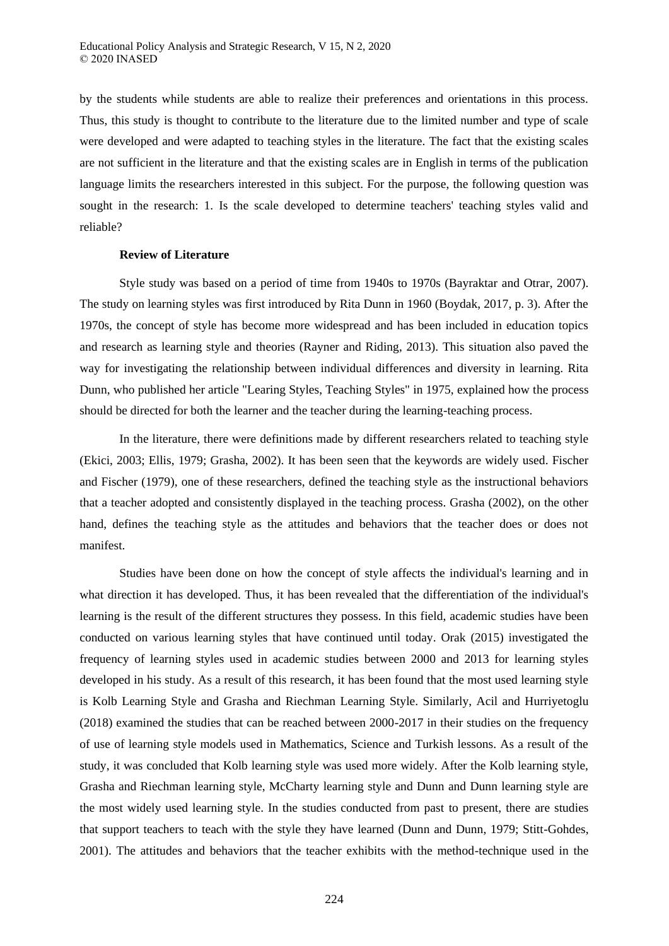by the students while students are able to realize their preferences and orientations in this process. Thus, this study is thought to contribute to the literature due to the limited number and type of scale were developed and were adapted to teaching styles in the literature. The fact that the existing scales are not sufficient in the literature and that the existing scales are in English in terms of the publication language limits the researchers interested in this subject. For the purpose, the following question was sought in the research: 1. Is the scale developed to determine teachers' teaching styles valid and reliable?

#### **Review of Literature**

Style study was based on a period of time from 1940s to 1970s (Bayraktar and Otrar, 2007). The study on learning styles was first introduced by Rita Dunn in 1960 (Boydak, 2017, p. 3). After the 1970s, the concept of style has become more widespread and has been included in education topics and research as learning style and theories (Rayner and Riding, 2013). This situation also paved the way for investigating the relationship between individual differences and diversity in learning. Rita Dunn, who published her article "Learing Styles, Teaching Styles" in 1975, explained how the process should be directed for both the learner and the teacher during the learning-teaching process.

In the literature, there were definitions made by different researchers related to teaching style (Ekici, 2003; Ellis, 1979; Grasha, 2002). It has been seen that the keywords are widely used. Fischer and Fischer (1979), one of these researchers, defined the teaching style as the instructional behaviors that a teacher adopted and consistently displayed in the teaching process. Grasha (2002), on the other hand, defines the teaching style as the attitudes and behaviors that the teacher does or does not manifest.

Studies have been done on how the concept of style affects the individual's learning and in what direction it has developed. Thus, it has been revealed that the differentiation of the individual's learning is the result of the different structures they possess. In this field, academic studies have been conducted on various learning styles that have continued until today. Orak (2015) investigated the frequency of learning styles used in academic studies between 2000 and 2013 for learning styles developed in his study. As a result of this research, it has been found that the most used learning style is Kolb Learning Style and Grasha and Riechman Learning Style. Similarly, Acil and Hurriyetoglu (2018) examined the studies that can be reached between 2000-2017 in their studies on the frequency of use of learning style models used in Mathematics, Science and Turkish lessons. As a result of the study, it was concluded that Kolb learning style was used more widely. After the Kolb learning style, Grasha and Riechman learning style, McCharty learning style and Dunn and Dunn learning style are the most widely used learning style. In the studies conducted from past to present, there are studies that support teachers to teach with the style they have learned (Dunn and Dunn, 1979; Stitt-Gohdes, 2001). The attitudes and behaviors that the teacher exhibits with the method-technique used in the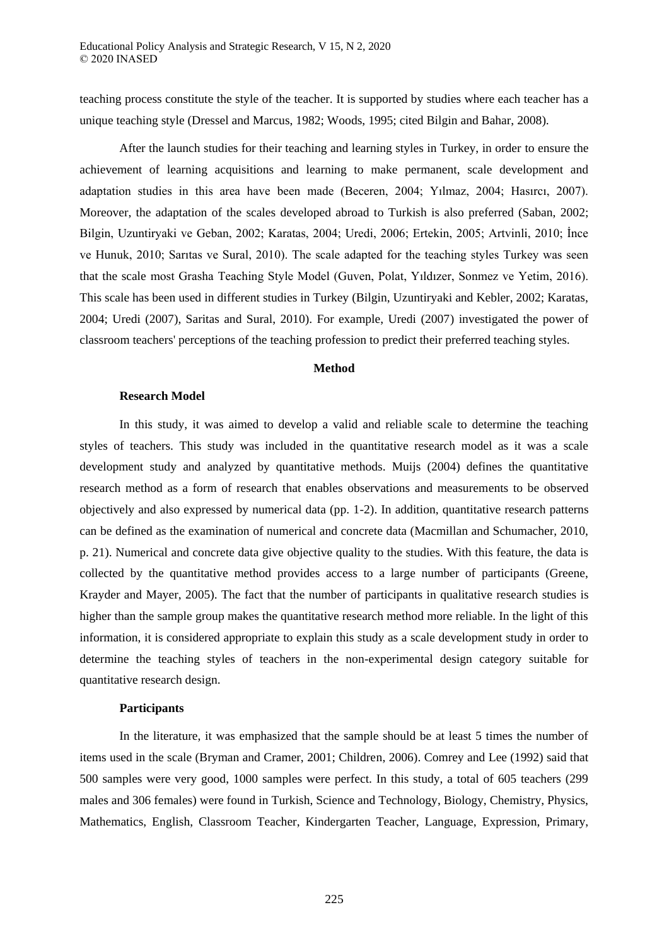teaching process constitute the style of the teacher. It is supported by studies where each teacher has a unique teaching style (Dressel and Marcus, 1982; Woods, 1995; cited Bilgin and Bahar, 2008).

After the launch studies for their teaching and learning styles in Turkey, in order to ensure the achievement of learning acquisitions and learning to make permanent, scale development and adaptation studies in this area have been made (Beceren, 2004; Yılmaz, 2004; Hasırcı, 2007). Moreover, the adaptation of the scales developed abroad to Turkish is also preferred (Saban, 2002; Bilgin, Uzuntiryaki ve Geban, 2002; Karatas, 2004; Uredi, 2006; Ertekin, 2005; Artvinli, 2010; İnce ve Hunuk, 2010; Sarıtas ve Sural, 2010). The scale adapted for the teaching styles Turkey was seen that the scale most Grasha Teaching Style Model (Guven, Polat, Yıldızer, Sonmez ve Yetim, 2016). This scale has been used in different studies in Turkey (Bilgin, Uzuntiryaki and Kebler, 2002; Karatas, 2004; Uredi (2007), Saritas and Sural, 2010). For example, Uredi (2007) investigated the power of classroom teachers' perceptions of the teaching profession to predict their preferred teaching styles.

### **Method**

### **Research Model**

In this study, it was aimed to develop a valid and reliable scale to determine the teaching styles of teachers. This study was included in the quantitative research model as it was a scale development study and analyzed by quantitative methods. Muijs (2004) defines the quantitative research method as a form of research that enables observations and measurements to be observed objectively and also expressed by numerical data (pp. 1-2). In addition, quantitative research patterns can be defined as the examination of numerical and concrete data (Macmillan and Schumacher, 2010, p. 21). Numerical and concrete data give objective quality to the studies. With this feature, the data is collected by the quantitative method provides access to a large number of participants (Greene, Krayder and Mayer, 2005). The fact that the number of participants in qualitative research studies is higher than the sample group makes the quantitative research method more reliable. In the light of this information, it is considered appropriate to explain this study as a scale development study in order to determine the teaching styles of teachers in the non-experimental design category suitable for quantitative research design.

### **Participants**

In the literature, it was emphasized that the sample should be at least 5 times the number of items used in the scale (Bryman and Cramer, 2001; Children, 2006). Comrey and Lee (1992) said that 500 samples were very good, 1000 samples were perfect. In this study, a total of 605 teachers (299 males and 306 females) were found in Turkish, Science and Technology, Biology, Chemistry, Physics, Mathematics, English, Classroom Teacher, Kindergarten Teacher, Language, Expression, Primary,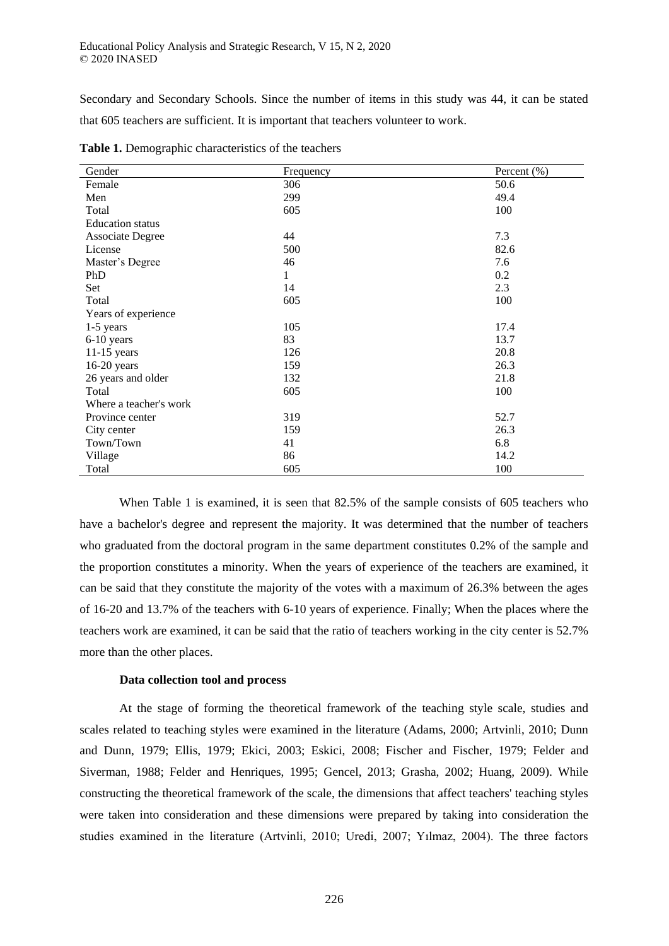Secondary and Secondary Schools. Since the number of items in this study was 44, it can be stated that 605 teachers are sufficient. It is important that teachers volunteer to work.

| Gender                  | Frequency | Percent $(\% )$ |
|-------------------------|-----------|-----------------|
| Female                  | 306       | 50.6            |
| Men                     | 299       | 49.4            |
| Total                   | 605       | 100             |
| <b>Education</b> status |           |                 |
| <b>Associate Degree</b> | 44        | 7.3             |
| License                 | 500       | 82.6            |
| Master's Degree         | 46        | 7.6             |
| PhD                     | 1         | 0.2             |
| Set                     | 14        | 2.3             |
| Total                   | 605       | 100             |
| Years of experience     |           |                 |
| $1-5$ years             | 105       | 17.4            |
| 6-10 years              | 83        | 13.7            |
| $11-15$ years           | 126       | 20.8            |
| $16-20$ years           | 159       | 26.3            |
| 26 years and older      | 132       | 21.8            |
| Total                   | 605       | 100             |
| Where a teacher's work  |           |                 |
| Province center         | 319       | 52.7            |
| City center             | 159       | 26.3            |
| Town/Town               | 41        | 6.8             |
| Village                 | 86        | 14.2            |
| Total                   | 605       | 100             |

**Table 1.** Demographic characteristics of the teachers

When Table 1 is examined, it is seen that 82.5% of the sample consists of 605 teachers who have a bachelor's degree and represent the majority. It was determined that the number of teachers who graduated from the doctoral program in the same department constitutes 0.2% of the sample and the proportion constitutes a minority. When the years of experience of the teachers are examined, it can be said that they constitute the majority of the votes with a maximum of 26.3% between the ages of 16-20 and 13.7% of the teachers with 6-10 years of experience. Finally; When the places where the teachers work are examined, it can be said that the ratio of teachers working in the city center is 52.7% more than the other places.

### **Data collection tool and process**

At the stage of forming the theoretical framework of the teaching style scale, studies and scales related to teaching styles were examined in the literature (Adams, 2000; Artvinli, 2010; Dunn and Dunn, 1979; Ellis, 1979; Ekici, 2003; Eskici, 2008; Fischer and Fischer, 1979; Felder and Siverman, 1988; Felder and Henriques, 1995; Gencel, 2013; Grasha, 2002; Huang, 2009). While constructing the theoretical framework of the scale, the dimensions that affect teachers' teaching styles were taken into consideration and these dimensions were prepared by taking into consideration the studies examined in the literature (Artvinli, 2010; Uredi, 2007; Yılmaz, 2004). The three factors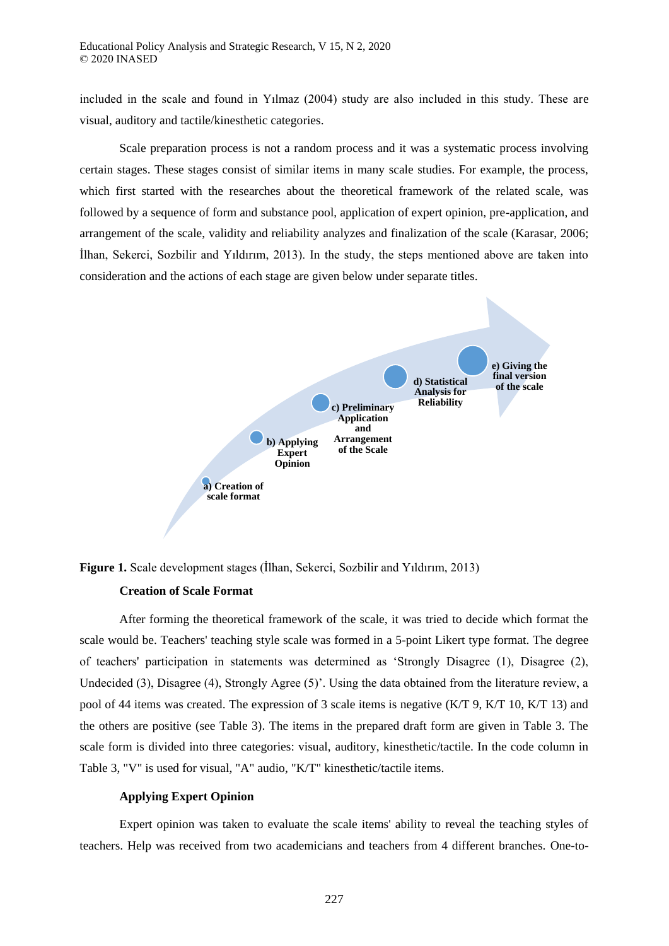included in the scale and found in Yılmaz (2004) study are also included in this study. These are visual, auditory and tactile/kinesthetic categories.

Scale preparation process is not a random process and it was a systematic process involving certain stages. These stages consist of similar items in many scale studies. For example, the process, which first started with the researches about the theoretical framework of the related scale, was followed by a sequence of form and substance pool, application of expert opinion, pre-application, and arrangement of the scale, validity and reliability analyzes and finalization of the scale (Karasar, 2006; İlhan, Sekerci, Sozbilir and Yıldırım, 2013). In the study, the steps mentioned above are taken into consideration and the actions of each stage are given below under separate titles.



**Figure 1.** Scale development stages (İlhan, Sekerci, Sozbilir and Yıldırım, 2013)

### **Creation of Scale Format**

After forming the theoretical framework of the scale, it was tried to decide which format the scale would be. Teachers' teaching style scale was formed in a 5-point Likert type format. The degree of teachers' participation in statements was determined as 'Strongly Disagree (1), Disagree (2), Undecided (3), Disagree (4), Strongly Agree (5)'. Using the data obtained from the literature review, a pool of 44 items was created. The expression of 3 scale items is negative (K/T 9, K/T 10, K/T 13) and the others are positive (see Table 3). The items in the prepared draft form are given in Table 3. The scale form is divided into three categories: visual, auditory, kinesthetic/tactile. In the code column in Table 3, "V" is used for visual, "A" audio, "K/T" kinesthetic/tactile items.

## **Applying Expert Opinion**

Expert opinion was taken to evaluate the scale items' ability to reveal the teaching styles of teachers. Help was received from two academicians and teachers from 4 different branches. One-to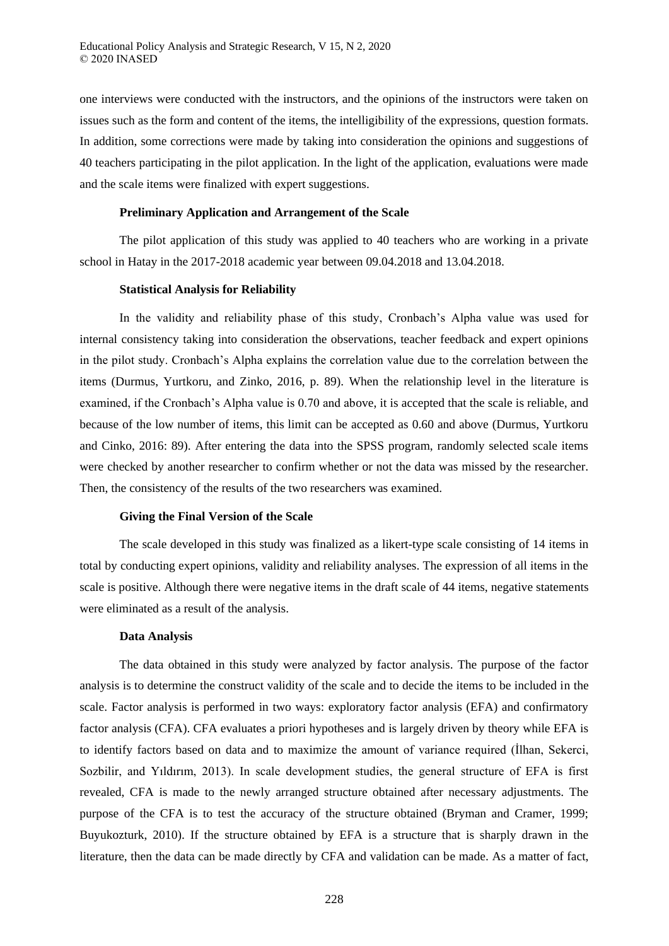one interviews were conducted with the instructors, and the opinions of the instructors were taken on issues such as the form and content of the items, the intelligibility of the expressions, question formats. In addition, some corrections were made by taking into consideration the opinions and suggestions of 40 teachers participating in the pilot application. In the light of the application, evaluations were made and the scale items were finalized with expert suggestions.

### **Preliminary Application and Arrangement of the Scale**

The pilot application of this study was applied to 40 teachers who are working in a private school in Hatay in the 2017-2018 academic year between 09.04.2018 and 13.04.2018.

### **Statistical Analysis for Reliability**

In the validity and reliability phase of this study, Cronbach's Alpha value was used for internal consistency taking into consideration the observations, teacher feedback and expert opinions in the pilot study. Cronbach's Alpha explains the correlation value due to the correlation between the items (Durmus, Yurtkoru, and Zinko, 2016, p. 89). When the relationship level in the literature is examined, if the Cronbach's Alpha value is 0.70 and above, it is accepted that the scale is reliable, and because of the low number of items, this limit can be accepted as 0.60 and above (Durmus, Yurtkoru and Cinko, 2016: 89). After entering the data into the SPSS program, randomly selected scale items were checked by another researcher to confirm whether or not the data was missed by the researcher. Then, the consistency of the results of the two researchers was examined.

#### **Giving the Final Version of the Scale**

The scale developed in this study was finalized as a likert-type scale consisting of 14 items in total by conducting expert opinions, validity and reliability analyses. The expression of all items in the scale is positive. Although there were negative items in the draft scale of 44 items, negative statements were eliminated as a result of the analysis.

### **Data Analysis**

The data obtained in this study were analyzed by factor analysis. The purpose of the factor analysis is to determine the construct validity of the scale and to decide the items to be included in the scale. Factor analysis is performed in two ways: exploratory factor analysis (EFA) and confirmatory factor analysis (CFA). CFA evaluates a priori hypotheses and is largely driven by theory while EFA is to identify factors based on data and to maximize the amount of variance required (İlhan, Sekerci, Sozbilir, and Yıldırım, 2013). In scale development studies, the general structure of EFA is first revealed, CFA is made to the newly arranged structure obtained after necessary adjustments. The purpose of the CFA is to test the accuracy of the structure obtained (Bryman and Cramer, 1999; Buyukozturk, 2010). If the structure obtained by EFA is a structure that is sharply drawn in the literature, then the data can be made directly by CFA and validation can be made. As a matter of fact,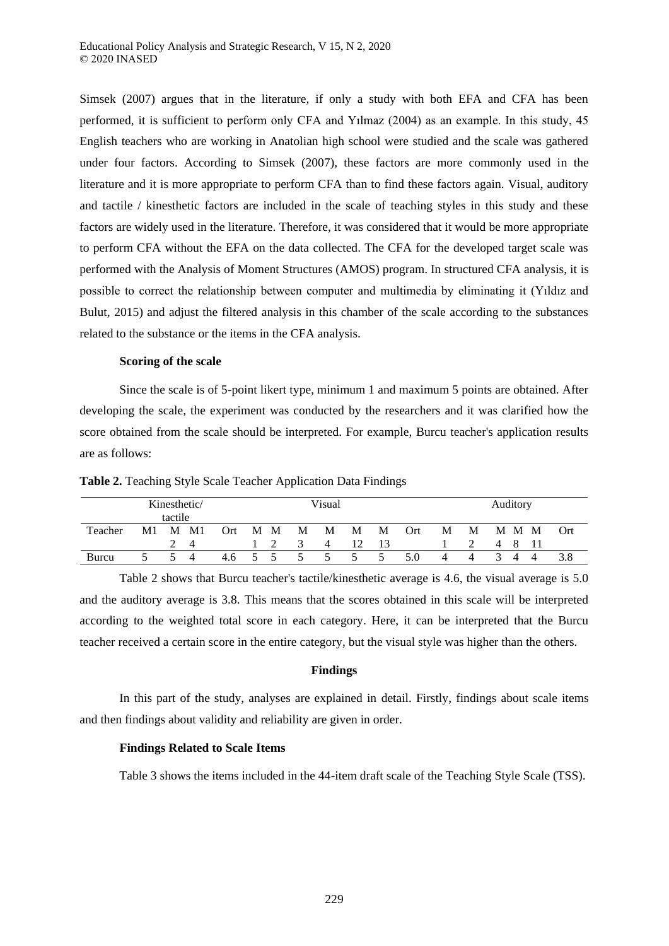Simsek (2007) argues that in the literature, if only a study with both EFA and CFA has been performed, it is sufficient to perform only CFA and Yılmaz (2004) as an example. In this study, 45 English teachers who are working in Anatolian high school were studied and the scale was gathered under four factors. According to Simsek (2007), these factors are more commonly used in the literature and it is more appropriate to perform CFA than to find these factors again. Visual, auditory and tactile / kinesthetic factors are included in the scale of teaching styles in this study and these factors are widely used in the literature. Therefore, it was considered that it would be more appropriate to perform CFA without the EFA on the data collected. The CFA for the developed target scale was performed with the Analysis of Moment Structures (AMOS) program. In structured CFA analysis, it is possible to correct the relationship between computer and multimedia by eliminating it (Yıldız and Bulut, 2015) and adjust the filtered analysis in this chamber of the scale according to the substances related to the substance or the items in the CFA analysis.

### **Scoring of the scale**

Since the scale is of 5-point likert type, minimum 1 and maximum 5 points are obtained. After developing the scale, the experiment was conducted by the researchers and it was clarified how the score obtained from the scale should be interpreted. For example, Burcu teacher's application results are as follows:

| Kinesthetic/<br>tactile |    |   |    | Visual |               |               |               | Auditory       |   |   |     |   |   |          |     |
|-------------------------|----|---|----|--------|---------------|---------------|---------------|----------------|---|---|-----|---|---|----------|-----|
| Teacher                 | M1 | M | M1 | Ort    |               | M M           | M             | M              | M | M | Ort | М | М | M M<br>M | Ort |
|                         |    |   | 4  |        |               |               | $\Delta$      | $\overline{4}$ |   |   |     |   |   | 8<br>4   |     |
| Burcu                   |    |   | 4  | 4.6    | $\mathcal{L}$ | $\mathcal{L}$ | $\mathcal{D}$ | $\mathcal{L}$  | 5 | 5 | 5.0 |   |   |          |     |

**Table 2.** Teaching Style Scale Teacher Application Data Findings

Table 2 shows that Burcu teacher's tactile/kinesthetic average is 4.6, the visual average is 5.0 and the auditory average is 3.8. This means that the scores obtained in this scale will be interpreted according to the weighted total score in each category. Here, it can be interpreted that the Burcu teacher received a certain score in the entire category, but the visual style was higher than the others.

## **Findings**

In this part of the study, analyses are explained in detail. Firstly, findings about scale items and then findings about validity and reliability are given in order.

## **Findings Related to Scale Items**

Table 3 shows the items included in the 44-item draft scale of the Teaching Style Scale (TSS).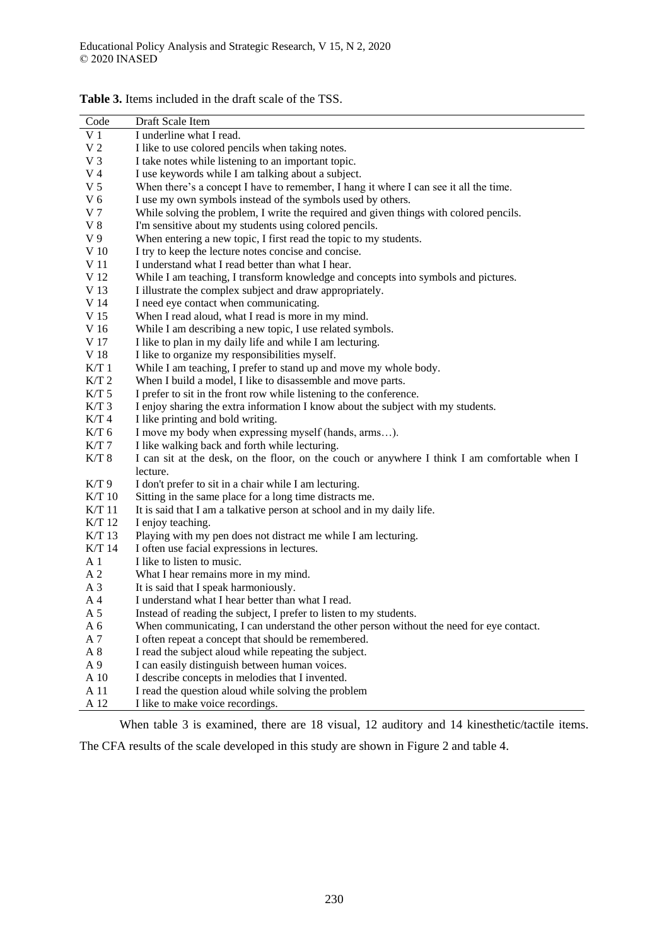| Code           | Draft Scale Item                                                                              |
|----------------|-----------------------------------------------------------------------------------------------|
| V <sub>1</sub> | I underline what I read.                                                                      |
| V <sub>2</sub> | I like to use colored pencils when taking notes.                                              |
| V <sub>3</sub> | I take notes while listening to an important topic.                                           |
| V <sub>4</sub> | I use keywords while I am talking about a subject.                                            |
| V <sub>5</sub> | When there's a concept I have to remember, I hang it where I can see it all the time.         |
| V <sub>6</sub> | I use my own symbols instead of the symbols used by others.                                   |
| V <sub>7</sub> | While solving the problem, I write the required and given things with colored pencils.        |
| $V_8$          | I'm sensitive about my students using colored pencils.                                        |
| V <sub>9</sub> | When entering a new topic, I first read the topic to my students.                             |
| V 10           | I try to keep the lecture notes concise and concise.                                          |
| V 11           | I understand what I read better than what I hear.                                             |
| V 12           | While I am teaching, I transform knowledge and concepts into symbols and pictures.            |
| V 13           | I illustrate the complex subject and draw appropriately.                                      |
| V 14           | I need eye contact when communicating.                                                        |
| V 15           | When I read aloud, what I read is more in my mind.                                            |
| V 16           | While I am describing a new topic, I use related symbols.                                     |
| V 17           | I like to plan in my daily life and while I am lecturing.                                     |
| V 18           | I like to organize my responsibilities myself.                                                |
| K/T1           | While I am teaching, I prefer to stand up and move my whole body.                             |
| $K/T$ 2        | When I build a model, I like to disassemble and move parts.                                   |
| $K/T$ 5        | I prefer to sit in the front row while listening to the conference.                           |
| $K/T$ 3        | I enjoy sharing the extra information I know about the subject with my students.              |
| $K/T$ 4        | I like printing and bold writing.                                                             |
| $K/T$ 6        | I move my body when expressing myself (hands, arms).                                          |
| $K/T$ 7        | I like walking back and forth while lecturing.                                                |
| $K/T$ 8        | I can sit at the desk, on the floor, on the couch or anywhere I think I am comfortable when I |
|                | lecture.                                                                                      |
| K/T9           | I don't prefer to sit in a chair while I am lecturing.                                        |
| K/T 10         | Sitting in the same place for a long time distracts me.                                       |
| $K/T$ 11       | It is said that I am a talkative person at school and in my daily life.                       |
| K/T 12         | I enjoy teaching.                                                                             |
| K/T 13         | Playing with my pen does not distract me while I am lecturing.                                |
| K/T 14         | I often use facial expressions in lectures.                                                   |
| A 1            | I like to listen to music.                                                                    |
| A <sub>2</sub> | What I hear remains more in my mind.                                                          |
| A <sub>3</sub> | It is said that I speak harmoniously.                                                         |
| A <sub>4</sub> | I understand what I hear better than what I read.                                             |
| A 5            | Instead of reading the subject, I prefer to listen to my students.                            |
| A 6            | When communicating, I can understand the other person without the need for eye contact.       |
| A 7            | I often repeat a concept that should be remembered.                                           |
| $\mathbf{A}$ 8 | I read the subject aloud while repeating the subject.                                         |
| A 9            | I can easily distinguish between human voices.                                                |
| A 10           | I describe concepts in melodies that I invented.                                              |
| A 11           | I read the question aloud while solving the problem                                           |
| A 12           | I like to make voice recordings.                                                              |

**Table 3.** Items included in the draft scale of the TSS.

When table 3 is examined, there are 18 visual, 12 auditory and 14 kinesthetic/tactile items.

The CFA results of the scale developed in this study are shown in Figure 2 and table 4.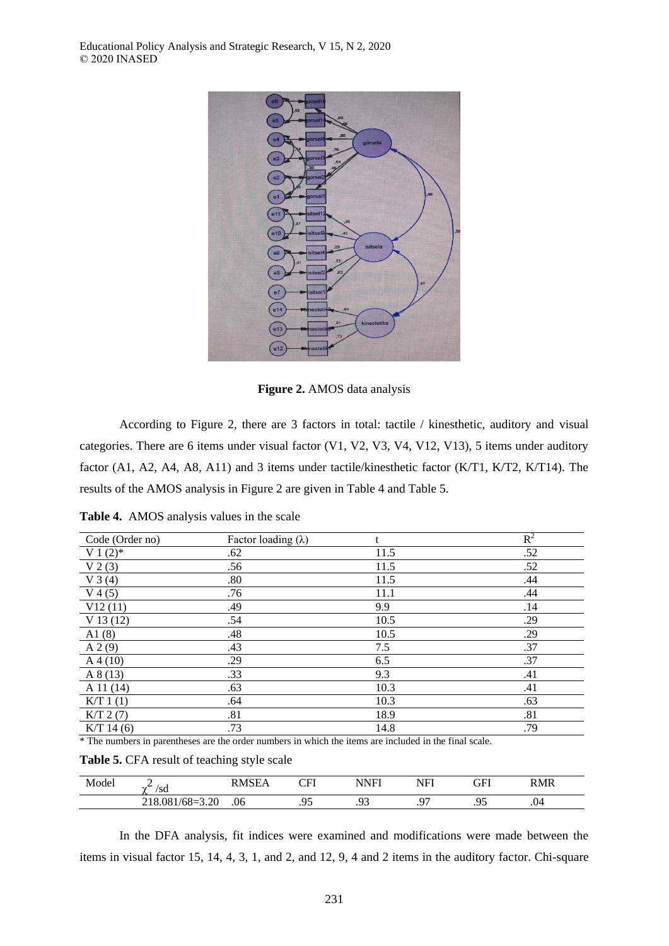

**Figure 2.** AMOS data analysis

According to Figure 2, there are 3 factors in total: tactile / kinesthetic, auditory and visual categories. There are 6 items under visual factor (V1, V2, V3, V4, V12, V13), 5 items under auditory factor (A1, A2, A4, A8, A11) and 3 items under tactile/kinesthetic factor (K/T1, K/T2, K/T14). The results of the AMOS analysis in Figure 2 are given in Table 4 and Table 5.

**Table 4.**AMOS analysis values in the scale

| Code (Order no) | Factor loading $(\lambda)$ | t    | $R^2$ |
|-----------------|----------------------------|------|-------|
| V 1 $(2)$ *     | .62                        | 11.5 | .52   |
| $V$ 2 (3)       | .56                        | 11.5 | .52   |
| $V_3(4)$        | .80                        | 11.5 | .44   |
| $V$ 4 (5)       | .76                        | 11.1 | .44   |
| V12(11)         | .49                        | 9.9  | .14   |
| V13(12)         | .54                        | 10.5 | .29   |
| A1(8)           | .48                        | 10.5 | .29   |
| A 2(9)          | .43                        | 7.5  | .37   |
| $A\,4(10)$      | .29                        | 6.5  | .37   |
| A 8(13)         | .33                        | 9.3  | .41   |
| $A$ 11 (14)     | .63                        | 10.3 | .41   |
| K/T 1(1)        | .64                        | 10.3 | .63   |
| K/T 2(7)        | .81                        | 18.9 | .81   |
| $K/T$ 14 (6)    | .73                        | 14.8 | .79   |

\* The numbers in parentheses are the order numbers in which the items are included in the final scale.

|  |  |  |  | Table 5. CFA result of teaching style scale |  |  |
|--|--|--|--|---------------------------------------------|--|--|
|--|--|--|--|---------------------------------------------|--|--|

| Model | <b>__</b><br>′sd                  | 1 S E<br>'NA<br>∸ | <b>ADI</b><br>⊷<br>- 1 | VNFI      | T<br>NH<br>. . | GFI      | RMR |  |
|-------|-----------------------------------|-------------------|------------------------|-----------|----------------|----------|-----|--|
|       | $.081/68 = 3.20$<br>R<br>$\sim$ 1 | .06               | ∩£<br>. <i>.</i>       | o۵<br>ر ر | . .            | .<br>ں ر | .04 |  |

In the DFA analysis, fit indices were examined and modifications were made between the items in visual factor 15, 14, 4, 3, 1, and 2, and 12, 9, 4 and 2 items in the auditory factor. Chi-square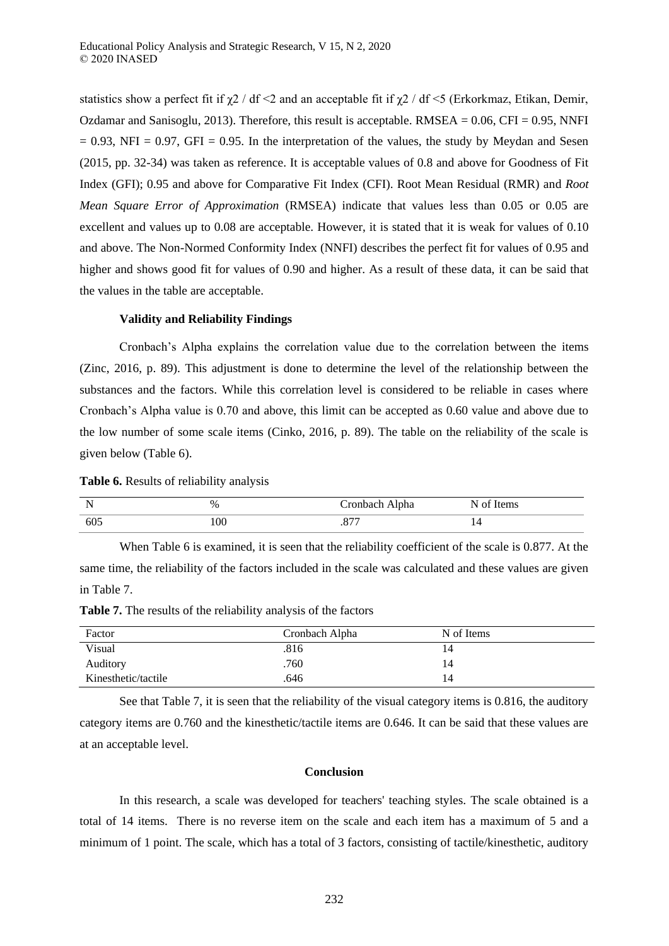statistics show a perfect fit if  $\chi$ 2 / df <2 and an acceptable fit if  $\chi$ 2 / df <5 (Erkorkmaz, Etikan, Demir, Ozdamar and Sanisoglu, 2013). Therefore, this result is acceptable.  $RMSEA = 0.06$ , CFI = 0.95, NNFI  $= 0.93$ , NFI = 0.97, GFI = 0.95. In the interpretation of the values, the study by Meydan and Sesen (2015, pp. 32-34) was taken as reference. It is acceptable values of 0.8 and above for Goodness of Fit Index (GFI); 0.95 and above for Comparative Fit Index (CFI). Root Mean Residual (RMR) and *Root Mean Square Error of Approximation* (RMSEA) indicate that values less than 0.05 or 0.05 are excellent and values up to 0.08 are acceptable. However, it is stated that it is weak for values of 0.10 and above. The Non-Normed Conformity Index (NNFI) describes the perfect fit for values of 0.95 and higher and shows good fit for values of 0.90 and higher. As a result of these data, it can be said that the values in the table are acceptable.

### **Validity and Reliability Findings**

Cronbach's Alpha explains the correlation value due to the correlation between the items (Zinc, 2016, p. 89). This adjustment is done to determine the level of the relationship between the substances and the factors. While this correlation level is considered to be reliable in cases where Cronbach's Alpha value is 0.70 and above, this limit can be accepted as 0.60 value and above due to the low number of some scale items (Cinko, 2016, p. 89). The table on the reliability of the scale is given below (Table 6).

**Table 6.** Results of reliability analysis

| . . | %   | , ronhoch<br>Cronbach Alpha | Items<br>ി<br>W. |
|-----|-----|-----------------------------|------------------|
| 605 | 100 | $\neg\neg\neg$<br>.∪7       | . .              |

When Table 6 is examined, it is seen that the reliability coefficient of the scale is 0.877. At the same time, the reliability of the factors included in the scale was calculated and these values are given in Table 7.

**Table 7.** The results of the reliability analysis of the factors

| Factor              | Cronbach Alpha | N of Items |  |
|---------------------|----------------|------------|--|
| Visual              | .816           | 14         |  |
| Auditory            | .760           | 14         |  |
| Kinesthetic/tactile | .646           | 14         |  |

See that Table 7, it is seen that the reliability of the visual category items is 0.816, the auditory category items are 0.760 and the kinesthetic/tactile items are 0.646. It can be said that these values are at an acceptable level.

#### **Conclusion**

In this research, a scale was developed for teachers' teaching styles. The scale obtained is a total of 14 items. There is no reverse item on the scale and each item has a maximum of 5 and a minimum of 1 point. The scale, which has a total of 3 factors, consisting of tactile/kinesthetic, auditory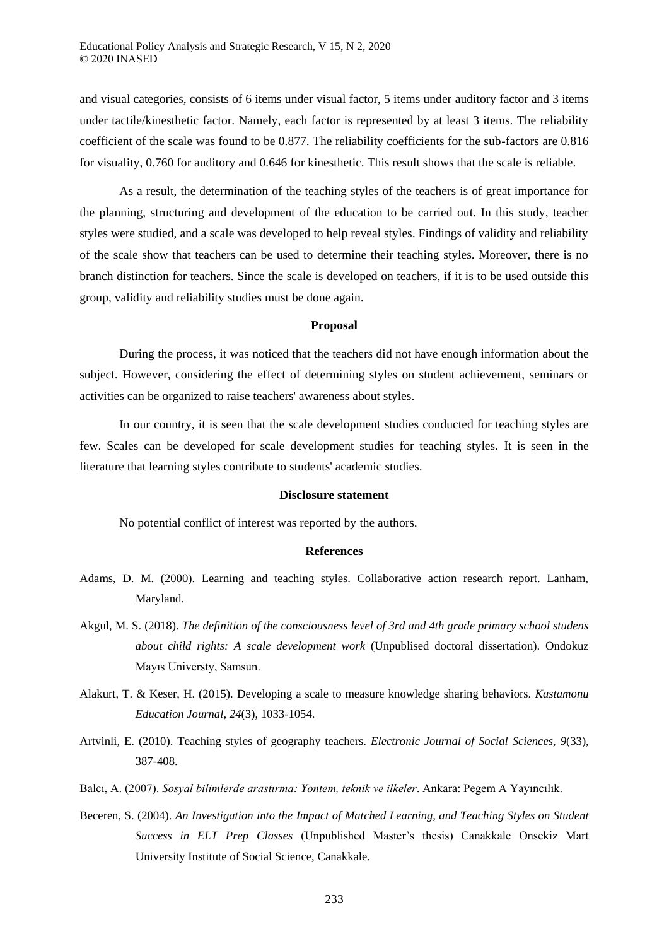and visual categories, consists of 6 items under visual factor, 5 items under auditory factor and 3 items under tactile/kinesthetic factor. Namely, each factor is represented by at least 3 items. The reliability coefficient of the scale was found to be 0.877. The reliability coefficients for the sub-factors are 0.816 for visuality, 0.760 for auditory and 0.646 for kinesthetic. This result shows that the scale is reliable.

As a result, the determination of the teaching styles of the teachers is of great importance for the planning, structuring and development of the education to be carried out. In this study, teacher styles were studied, and a scale was developed to help reveal styles. Findings of validity and reliability of the scale show that teachers can be used to determine their teaching styles. Moreover, there is no branch distinction for teachers. Since the scale is developed on teachers, if it is to be used outside this group, validity and reliability studies must be done again.

#### **Proposal**

During the process, it was noticed that the teachers did not have enough information about the subject. However, considering the effect of determining styles on student achievement, seminars or activities can be organized to raise teachers' awareness about styles.

In our country, it is seen that the scale development studies conducted for teaching styles are few. Scales can be developed for scale development studies for teaching styles. It is seen in the literature that learning styles contribute to students' academic studies.

#### **Disclosure statement**

No potential conflict of interest was reported by the authors.

#### **References**

- Adams, D. M. (2000). Learning and teaching styles. Collaborative action research report. Lanham, Maryland.
- Akgul, M. S. (2018). *The definition of the consciousness level of 3rd and 4th grade primary school studens about child rights: A scale development work* (Unpublised doctoral dissertation). Ondokuz Mayıs Universty, Samsun.
- Alakurt, T. & Keser, H. (2015). Developing a scale to measure knowledge sharing behaviors. *Kastamonu Education Journal, 24*(3), 1033-1054.
- Artvinli, E. (2010). Teaching styles of geography teachers. *Electronic Journal of Social Sciences*, *9*(33), 387-408.
- Balcı, A. (2007). *Sosyal bilimlerde arastırma Yontem, teknik ve ilkeler*. Ankara: Pegem A Yayıncılık.
- Beceren, S. (2004). *An Investigation into the Impact of Matched Learning, and Teaching Styles on Student Success in ELT Prep Classes* (Unpublished Master's thesis) Canakkale Onsekiz Mart University Institute of Social Science, Canakkale.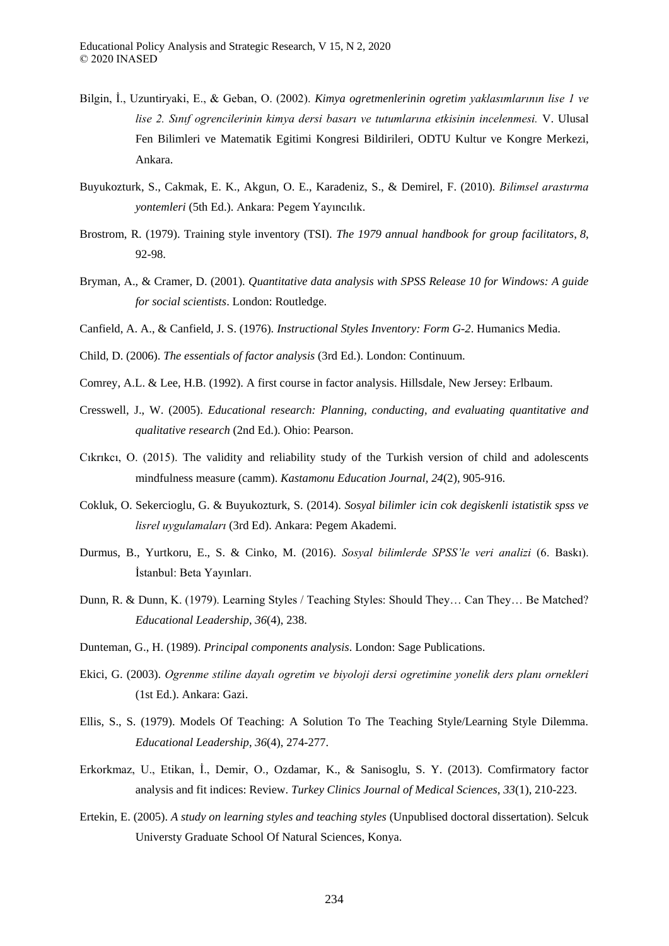- Bilgin, İ., Uzuntiryaki, E., & Geban, O. (2002). *Kimya ogretmenlerinin ogretim yaklasımlarının lise 1 ve*  lise 2. Sınıf ogrencilerinin kimya dersi basarı ve tutumlarına etkisinin incelenmesi. V. Ulusal Fen Bilimleri ve Matematik Egitimi Kongresi Bildirileri, ODTU Kultur ve Kongre Merkezi, Ankara.
- Buyukozturk, S., Cakmak, E. K., Akgun, O. E., Karadeniz, S., & Demirel, F. (2010). *Bilimsel arastırma yontemleri* (5th Ed.). Ankara: Pegem Yayıncılık.
- Brostrom, R. (1979). Training style inventory (TSI). *The 1979 annual handbook for group facilitators*, *8*, 92-98.
- Bryman, A., & Cramer, D. (2001). *Quantitative data analysis with SPSS Release 10 for Windows: A guide for social scientists*. London: Routledge.
- Canfield, A. A., & Canfield, J. S. (1976). *Instructional Styles Inventory: Form G-2*. Humanics Media.
- Child, D. (2006). *The essentials of factor analysis* (3rd Ed.). London: Continuum.
- Comrey, A.L. & Lee, H.B. (1992). A first course in factor analysis. Hillsdale, New Jersey: Erlbaum.
- Cresswell, J., W. (2005). *Educational research: Planning, conducting, and evaluating quantitative and qualitative research* (2nd Ed.). Ohio: Pearson.
- Cıkrıkcı, O. (2015). The validity and reliability study of the Turkish version of child and adolescents mindfulness measure (camm). *Kastamonu Education Journal, 24*(2), 905-916.
- Cokluk, O. Sekercioglu, G. & Buyukozturk, S. (2014). *Sosyal bilimler icin cok degiskenli istatistik spss ve lisrel uygulamaları* (3rd Ed). Ankara: Pegem Akademi.
- Durmus, B., Yurtkoru, E., S. & Cinko, M. (2016). *Sosyal bilimlerde SPSS'le veri analizi* (6. Baskı). İstanbul: Beta Yayınları.
- Dunn, R. & Dunn, K. (1979). Learning Styles / Teaching Styles: Should They… Can They… Be Matched? *Educational Leadership*, *36*(4), 238.
- Dunteman, G., H. (1989). *Principal components analysis*. London: Sage Publications.
- Ekici, G. (2003). *Ogrenme stiline dayalı ogretim ve biyoloji dersi ogretimine yonelik ders planı ornekleri* (1st Ed.). Ankara: Gazi.
- Ellis, S., S. (1979). Models Of Teaching: A Solution To The Teaching Style/Learning Style Dilemma. *Educational Leadership*, *36*(4), 274-277.
- Erkorkmaz, U., Etikan, İ., Demir, O., Ozdamar, K., & Sanisoglu, S. Y. (2013). Comfirmatory factor analysis and fit indices: Review. *Turkey Clinics Journal of Medical Sciences*, *33*(1), 210-223.
- Ertekin, E. (2005). *A study on learning styles and teaching styles* (Unpublised doctoral dissertation). Selcuk Universty Graduate School Of Natural Sciences, Konya.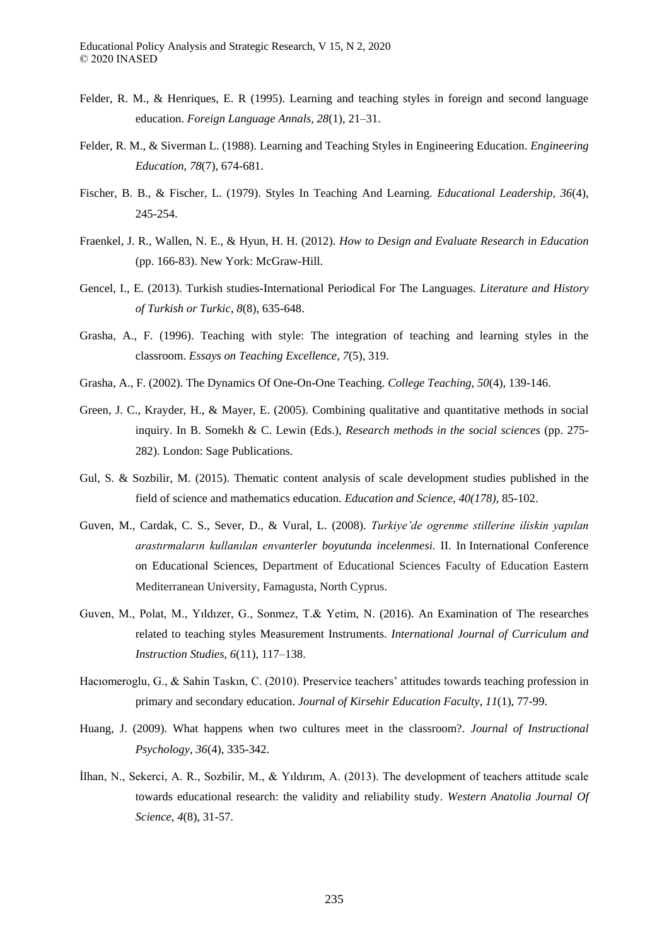- Felder, R. M., & Henriques, E. R (1995). Learning and teaching styles in foreign and second language education. *Foreign Language Annals, 28*(1), 21–31.
- Felder, R. M., & Siverman L. (1988). Learning and Teaching Styles in Engineering Education. *Engineering Education*, *78*(7), 674-681.
- Fischer, B. B., & Fischer, L. (1979). Styles In Teaching And Learning. *Educational Leadership*, *36*(4), 245-254.
- Fraenkel, J. R., Wallen, N. E., & Hyun, H. H. (2012). *How to Design and Evaluate Research in Education*  (pp. 166-83). New York: McGraw-Hill.
- Gencel, I., E. (2013). Turkish studies-International Periodical For The Languages. *Literature and History of Turkish or Turkic*, *8*(8), 635-648.
- Grasha, A., F. (1996). Teaching with style: The integration of teaching and learning styles in the classroom. *Essays on Teaching Excellence*, *7*(5), 319.
- Grasha, A., F. (2002). The Dynamics Of One-On-One Teaching. *College Teaching*, *50*(4), 139-146.
- Green, J. C., Krayder, H., & Mayer, E. (2005). Combining qualitative and quantitative methods in social inquiry. In B. Somekh & C. Lewin (Eds.), *Research methods in the social sciences* (pp. 275- 282). London: Sage Publications.
- Gul, S. & Sozbilir, M. (2015). Thematic content analysis of scale development studies published in the field of science and mathematics education. *Education and Science, 40(178)*, 85-102.
- Guven, M., Cardak, C. S., Sever, D., & Vural, L. (2008). *urkiye'de ogrenme stillerine iliskin yapılan arastırmaların kullanılan envanterler boyutunda incelenmesi.* II. In International Conference on Educational Sciences, Department of Educational Sciences Faculty of Education Eastern Mediterranean University, Famagusta, North Cyprus.
- Guven, M., Polat, M., Yıldızer, G., Sonmez, T.& Yetim, N. (2016). An Examination of The researches related to teaching styles Measurement Instruments. *International Journal of Curriculum and Instruction Studies*, *6*(11), 117–138.
- Hacıomeroglu, G., & Sahin Taskın, C. (2010). Preservice teachers' attitudes towards teaching profession in primary and secondary education. *Journal of Kirsehir Education Faculty*, *11*(1), 77-99.
- Huang, J. (2009). What happens when two cultures meet in the classroom?. *Journal of Instructional Psychology*, *36*(4), 335-342.
- İlhan, N., Sekerci, A. R., Sozbilir, M., & Yıldırım, A. (2013). The development of teachers attitude scale towards educational research: the validity and reliability study. *Western Anatolia Journal Of Science*, *4*(8), 31-57.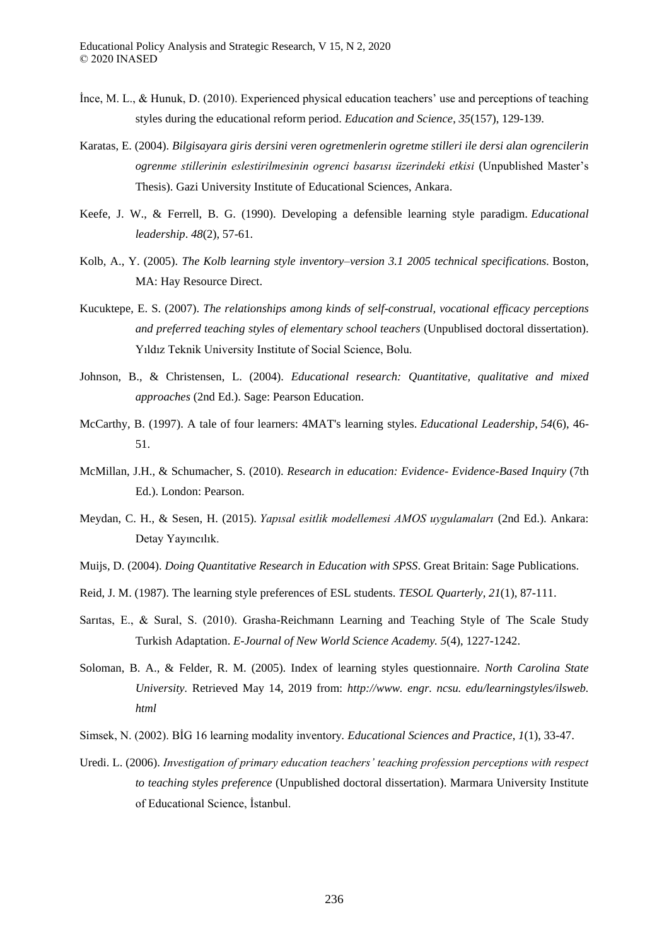- İnce, M. L., & Hunuk, D. (2010). Experienced physical education teachers' use and perceptions of teaching styles during the educational reform period. *Education and Science*, *35*(157), 129-139.
- Karatas, E. (2004). *Bilgisayara giris dersini veren ogretmenlerin ogretme stilleri ile dersi alan ogrencilerin ogrenme stillerinin eslestirilmesinin ogrenci basarısı üzerindeki etkisi* (Unpublished Master's Thesis). Gazi University Institute of Educational Sciences, Ankara.
- Keefe, J. W., & Ferrell, B. G. (1990). Developing a defensible learning style paradigm. *Educational leadership*. *48*(2), 57-61.
- Kolb, A., Y. (2005). *The Kolb learning style inventory–version 3.1 2005 technical specifications.* Boston, MA: Hay Resource Direct.
- Kucuktepe, E. S. (2007). *The relationships among kinds of self-construal, vocational efficacy perceptions and preferred teaching styles of elementary school teachers* (Unpublised doctoral dissertation). Yıldız Teknik University Institute of Social Science, Bolu.
- Johnson, B., & Christensen, L. (2004). *Educational research: Quantitative, qualitative and mixed approaches* (2nd Ed.). Sage: Pearson Education.
- McCarthy, B. (1997). A tale of four learners: 4MAT's learning styles. *Educational Leadership*, *54*(6), 46- 51.
- McMillan, J.H., & Schumacher, S. (2010). *Research in education: Evidence- Evidence-Based Inquiry* (7th Ed.). London: Pearson.
- Meydan, C. H., & Sesen, H. (2015). *Yapısal esitlik modellemesi AMOS uygulamaları* (2nd Ed.). Ankara: Detay Yayıncılık.
- Muijs, D. (2004). *Doing Quantitative Research in Education with SPSS*. Great Britain: Sage Publications.
- Reid, J. M. (1987). The learning style preferences of ESL students. *TESOL Quarterly*, *21*(1), 87-111.
- Sarıtas, E., & Sural, S. (2010). Grasha-Reichmann Learning and Teaching Style of The Scale Study Turkish Adaptation. *E-Journal of New World Science Academy. 5*(4), 1227-1242.
- Soloman, B. A., & Felder, R. M. (2005). Index of learning styles questionnaire. *North Carolina State University.* Retrieved May 14, 2019 from: *http://www. engr. ncsu. edu/learningstyles/ilsweb. html*
- Simsek, N. (2002). BİG 16 learning modality inventory*. Educational Sciences and Practice*, *1*(1), 33-47.
- Uredi. L. (2006). *Investigation of primary education teachers' teaching profession perceptions with respect to teaching styles preference* (Unpublished doctoral dissertation). Marmara University Institute of Educational Science, İstanbul.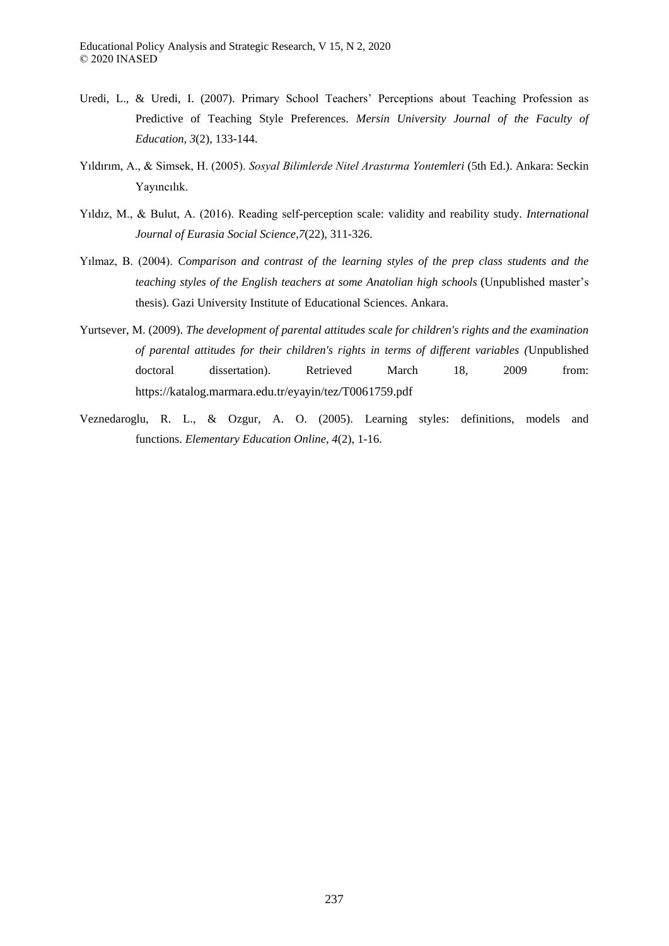- Uredi, L., & Uredi, I. (2007). Primary School Teachers' Perceptions about Teaching Profession as Predictive of Teaching Style Preferences. *Mersin University Journal of the Faculty of Education, 3*(2), 133-144.
- Yıldırım, A., & Simsek, H. (2005). *Sosyal Bilimlerde Nitel Arastırma Yontemleri* (5th Ed.). Ankara: Seckin Yayıncılık.
- Yıldız, M., & Bulut, A. (2016). Reading self-perception scale: validity and reability study. *International Journal of Eurasia Social Science,7*(22), 311-326.
- Yılmaz, B. (2004). *Comparison and contrast of the learning styles of the prep class students and the teaching styles of the English teachers at some Anatolian high schools* (Unpublished master's thesis). Gazi University Institute of Educational Sciences. Ankara.
- Yurtsever, M. (2009). *The development of parental attitudes scale for children's rights and the examination of parental attitudes for their children's rights in terms of different variables (*Unpublished doctoral dissertation). Retrieved March 18, 2009 from: https://katalog.marmara.edu.tr/eyayin/tez/T0061759.pdf
- Veznedaroglu, R. L., & Ozgur, A. O. (2005). Learning styles: definitions, models and functions. *Elementary Education Online*, *4*(2), 1-16.